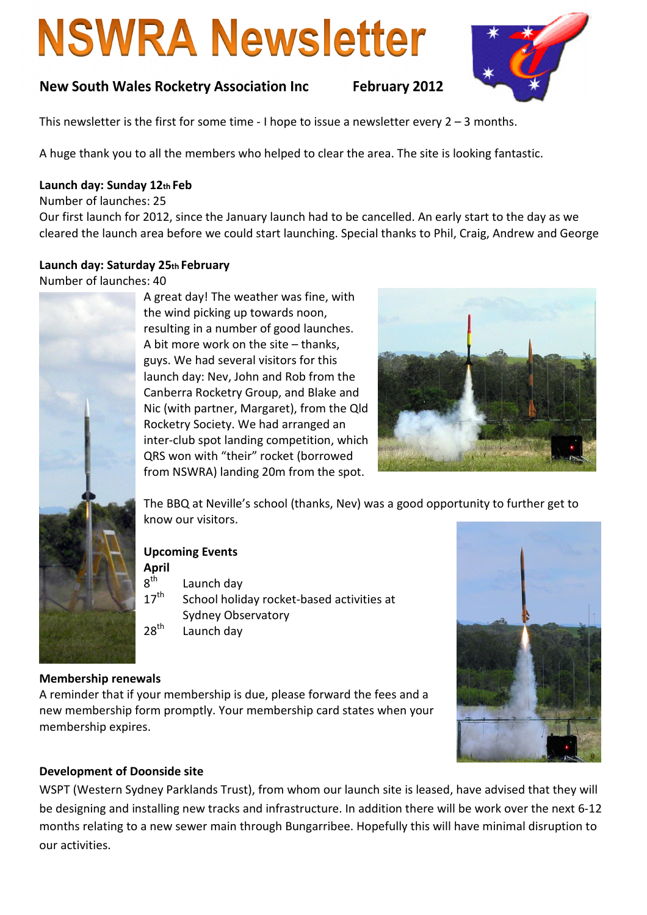# **NSWRA Newsletter**





This newsletter is the first for some time - I hope to issue a newsletter every  $2 - 3$  months.

A huge thank you to all the members who helped to clear the area. The site is looking fantastic.

## Launch day: Sunday 12th Feb

Number of launches: 25

Our first launch for 2012, since the January launch had to be cancelled. An early start to the day as we cleared the launch area before we could start launching. Special thanks to Phil, Craig, Andrew and George

## Launch day: Saturday 25th February

Number of launches: 40



A great day! The weather was fine, with the wind picking up towards noon, resulting in a number of good launches. A bit more work on the site – thanks, guys. We had several visitors for this launch day: Nev, John and Rob from the Canberra Rocketry Group, and Blake and Nic (with partner, Margaret), from the Qld Rocketry Society. We had arranged an inter-club spot landing competition, which QRS won with "their" rocket (borrowed from NSWRA) landing 20m from the spot.



The BBQ at Neville's school (thanks, Nev) was a good opportunity to further get to know our visitors.

## Upcoming Events

April Launch day

 $\frac{8^{th}}{17^{th}}$ School holiday rocket-based activities at Sydney Observatory

 $28<sup>th</sup>$  Launch day



# Membership renewals

A reminder that if your membership is due, please forward the fees and a new membership form promptly. Your membership card states when your membership expires.

## Development of Doonside site

WSPT (Western Sydney Parklands Trust), from whom our launch site is leased, have advised that they will be designing and installing new tracks and infrastructure. In addition there will be work over the next 6-12 months relating to a new sewer main through Bungarribee. Hopefully this will have minimal disruption to our activities.